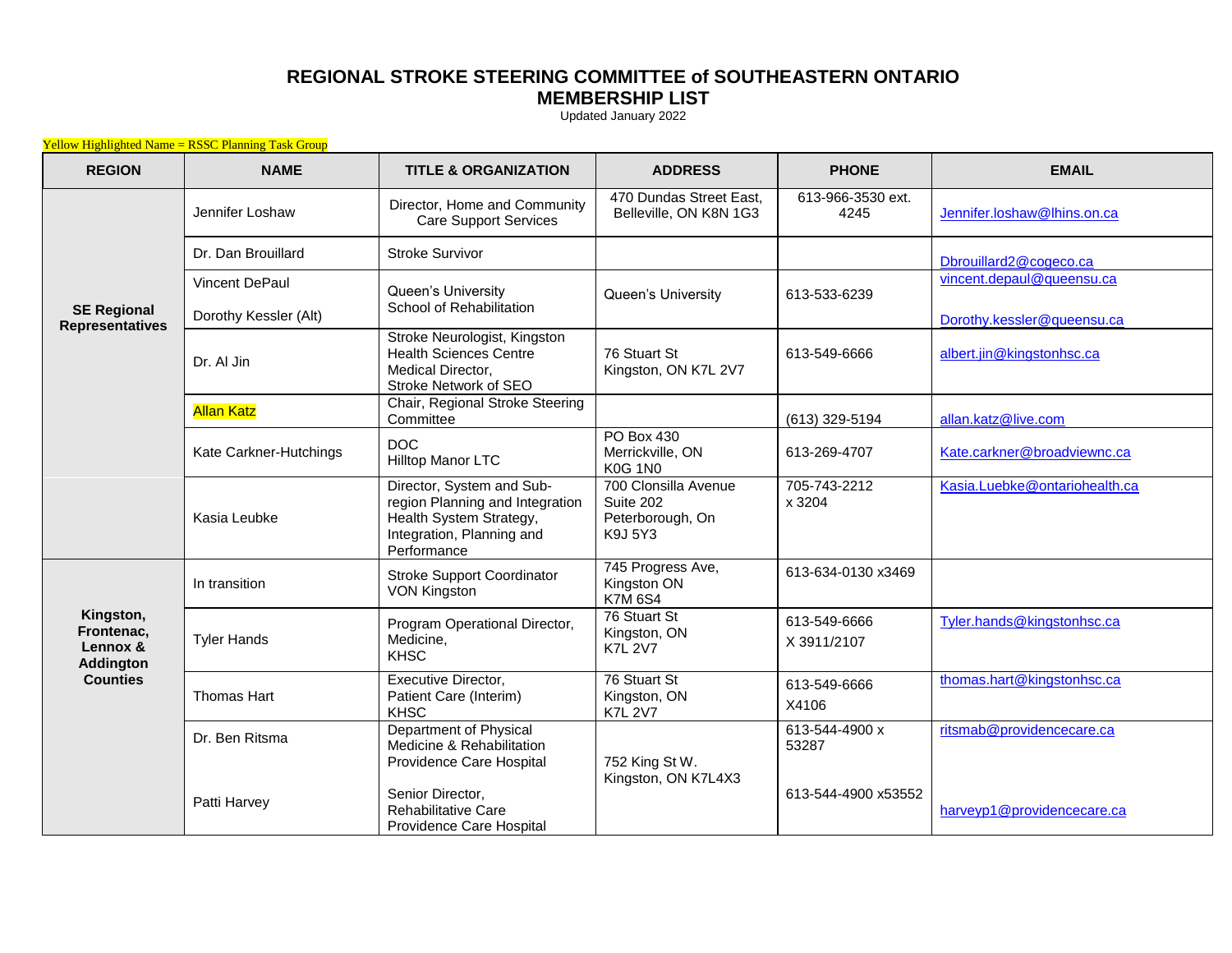## **REGIONAL STROKE STEERING COMMITTEE of SOUTHEASTERN ONTARIO MEMBERSHIP LIST**

Updated January 2022

| <b>Yellow Highlighted Name = RSSC Planning Task Group</b>                  |                        |                                                                                                                                     |                                                                  |                             |                               |  |
|----------------------------------------------------------------------------|------------------------|-------------------------------------------------------------------------------------------------------------------------------------|------------------------------------------------------------------|-----------------------------|-------------------------------|--|
| <b>REGION</b>                                                              | <b>NAME</b>            | <b>TITLE &amp; ORGANIZATION</b>                                                                                                     | <b>ADDRESS</b>                                                   | <b>PHONE</b>                | <b>EMAIL</b>                  |  |
| <b>SE Regional</b><br><b>Representatives</b>                               | Jennifer Loshaw        | Director, Home and Community<br>Care Support Services                                                                               | 470 Dundas Street East,<br>Belleville, ON K8N 1G3                | 613-966-3530 ext.<br>4245   | Jennifer.loshaw@lhins.on.ca   |  |
|                                                                            | Dr. Dan Brouillard     | <b>Stroke Survivor</b>                                                                                                              |                                                                  |                             | Dbrouillard2@cogeco.ca        |  |
|                                                                            | Vincent DePaul         | Queen's University<br>School of Rehabilitation                                                                                      | Queen's University                                               | 613-533-6239                | vincent.depaul@queensu.ca     |  |
|                                                                            | Dorothy Kessler (Alt)  |                                                                                                                                     |                                                                  |                             | Dorothy.kessler@queensu.ca    |  |
|                                                                            | Dr. Al Jin             | Stroke Neurologist, Kingston<br><b>Health Sciences Centre</b><br><b>Medical Director.</b><br>Stroke Network of SEO                  | 76 Stuart St<br>Kingston, ON K7L 2V7                             | 613-549-6666                | albert.jin@kingstonhsc.ca     |  |
|                                                                            | <b>Allan Katz</b>      | Chair, Regional Stroke Steering<br>Committee                                                                                        |                                                                  | (613) 329-5194              | allan.katz@live.com           |  |
|                                                                            | Kate Carkner-Hutchings | <b>DOC</b><br>Hilltop Manor LTC                                                                                                     | PO Box 430<br>Merrickville, ON<br><b>K0G 1N0</b>                 | 613-269-4707                | Kate.carkner@broadviewnc.ca   |  |
|                                                                            | Kasia Leubke           | Director, System and Sub-<br>region Planning and Integration<br>Health System Strategy,<br>Integration, Planning and<br>Performance | 700 Clonsilla Avenue<br>Suite 202<br>Peterborough, On<br>K9J 5Y3 | 705-743-2212<br>x 3204      | Kasia.Luebke@ontariohealth.ca |  |
| Kingston,<br>Frontenac,<br>Lennox &<br><b>Addington</b><br><b>Counties</b> | In transition          | <b>Stroke Support Coordinator</b><br><b>VON Kingston</b>                                                                            | 745 Progress Ave,<br>Kingston ON<br><b>K7M6S4</b>                | 613-634-0130 x3469          |                               |  |
|                                                                            | <b>Tyler Hands</b>     | Program Operational Director,<br>Medicine,<br><b>KHSC</b>                                                                           | 76 Stuart St<br>Kingston, ON<br><b>K7L 2V7</b>                   | 613-549-6666<br>X 3911/2107 | Tyler.hands@kingstonhsc.ca    |  |
|                                                                            | <b>Thomas Hart</b>     | Executive Director,<br>Patient Care (Interim)<br><b>KHSC</b>                                                                        | 76 Stuart St<br>Kingston, ON<br><b>K7L 2V7</b>                   | 613-549-6666<br>X4106       | thomas.hart@kingstonhsc.ca    |  |
|                                                                            | Dr. Ben Ritsma         | Department of Physical<br>Medicine & Rehabilitation<br>Providence Care Hospital                                                     | 752 King St W.                                                   | 613-544-4900 x<br>53287     | ritsmab@providencecare.ca     |  |
|                                                                            | Patti Harvey           | Senior Director,<br>Rehabilitative Care<br>Providence Care Hospital                                                                 | Kingston, ON K7L4X3                                              | 613-544-4900 x53552         | harveyp1@providencecare.ca    |  |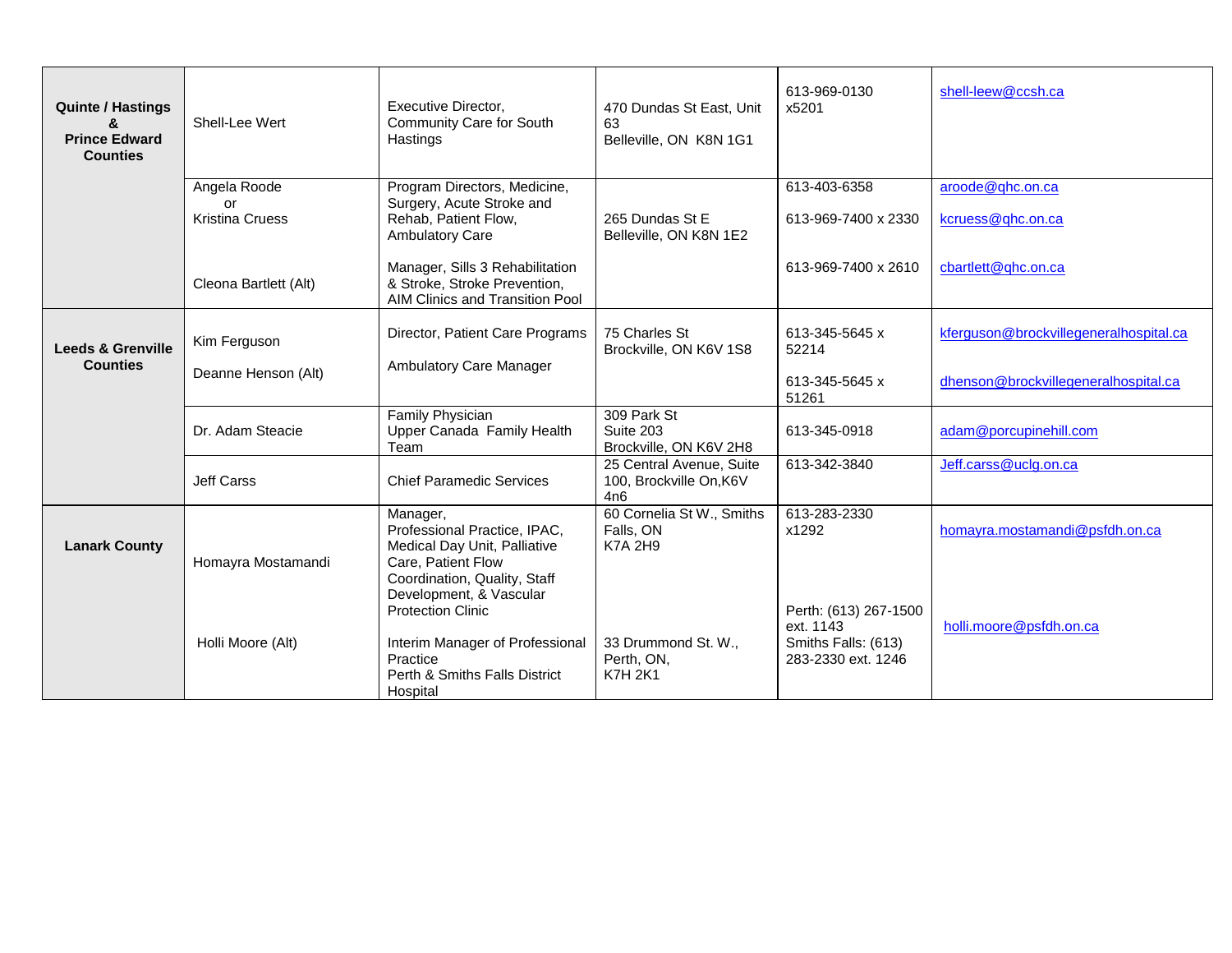| <b>Quinte / Hastings</b><br>&<br><b>Prince Edward</b><br><b>Counties</b> | Shell-Lee Wert                               | Executive Director,<br>Community Care for South<br>Hastings                                                                                                                           | 470 Dundas St East, Unit<br>63<br>Belleville, ON K8N 1G1   | 613-969-0130<br>x5201                                  | shell-leew@ccsh.ca                                                             |
|--------------------------------------------------------------------------|----------------------------------------------|---------------------------------------------------------------------------------------------------------------------------------------------------------------------------------------|------------------------------------------------------------|--------------------------------------------------------|--------------------------------------------------------------------------------|
|                                                                          | Angela Roode<br>or<br><b>Kristina Cruess</b> | Program Directors, Medicine,<br>Surgery, Acute Stroke and<br>Rehab, Patient Flow,<br><b>Ambulatory Care</b>                                                                           | 265 Dundas St E<br>Belleville, ON K8N 1E2                  | 613-403-6358<br>613-969-7400 x 2330                    | aroode@qhc.on.ca<br>kcruess@qhc.on.ca                                          |
|                                                                          | Cleona Bartlett (Alt)                        | Manager, Sills 3 Rehabilitation<br>& Stroke, Stroke Prevention,<br>AIM Clinics and Transition Pool                                                                                    |                                                            | 613-969-7400 x 2610                                    | cbartlett@qhc.on.ca                                                            |
| <b>Leeds &amp; Grenville</b><br><b>Counties</b>                          | Kim Ferguson<br>Deanne Henson (Alt)          | Director, Patient Care Programs<br>Ambulatory Care Manager                                                                                                                            | 75 Charles St<br>Brockville, ON K6V 1S8                    | 613-345-5645 x<br>52214<br>613-345-5645 x              | kferguson@brockvillegeneralhospital.ca<br>dhenson@brockvillegeneralhospital.ca |
|                                                                          | Dr. Adam Steacie                             | Family Physician<br>Upper Canada Family Health<br>Team                                                                                                                                | 309 Park St<br>Suite 203<br>Brockville, ON K6V 2H8         | 51261<br>613-345-0918                                  | adam@porcupinehill.com                                                         |
|                                                                          | <b>Jeff Carss</b>                            | <b>Chief Paramedic Services</b>                                                                                                                                                       | 25 Central Avenue, Suite<br>100, Brockville On, K6V<br>4n6 | 613-342-3840                                           | Jeff.carss@uclg.on.ca                                                          |
| <b>Lanark County</b>                                                     | Homayra Mostamandi                           | Manager,<br>Professional Practice, IPAC,<br>Medical Day Unit, Palliative<br>Care, Patient Flow<br>Coordination, Quality, Staff<br>Development, & Vascular<br><b>Protection Clinic</b> | 60 Cornelia St W., Smiths<br>Falls, ON<br><b>K7A 2H9</b>   | 613-283-2330<br>x1292<br>Perth: (613) 267-1500         | homayra.mostamandi@psfdh.on.ca                                                 |
|                                                                          | Holli Moore (Alt)                            | Interim Manager of Professional<br>Practice<br>Perth & Smiths Falls District<br>Hospital                                                                                              | 33 Drummond St. W.,<br>Perth, ON,<br><b>K7H 2K1</b>        | ext. 1143<br>Smiths Falls: (613)<br>283-2330 ext. 1246 | holli.moore@psfdh.on.ca                                                        |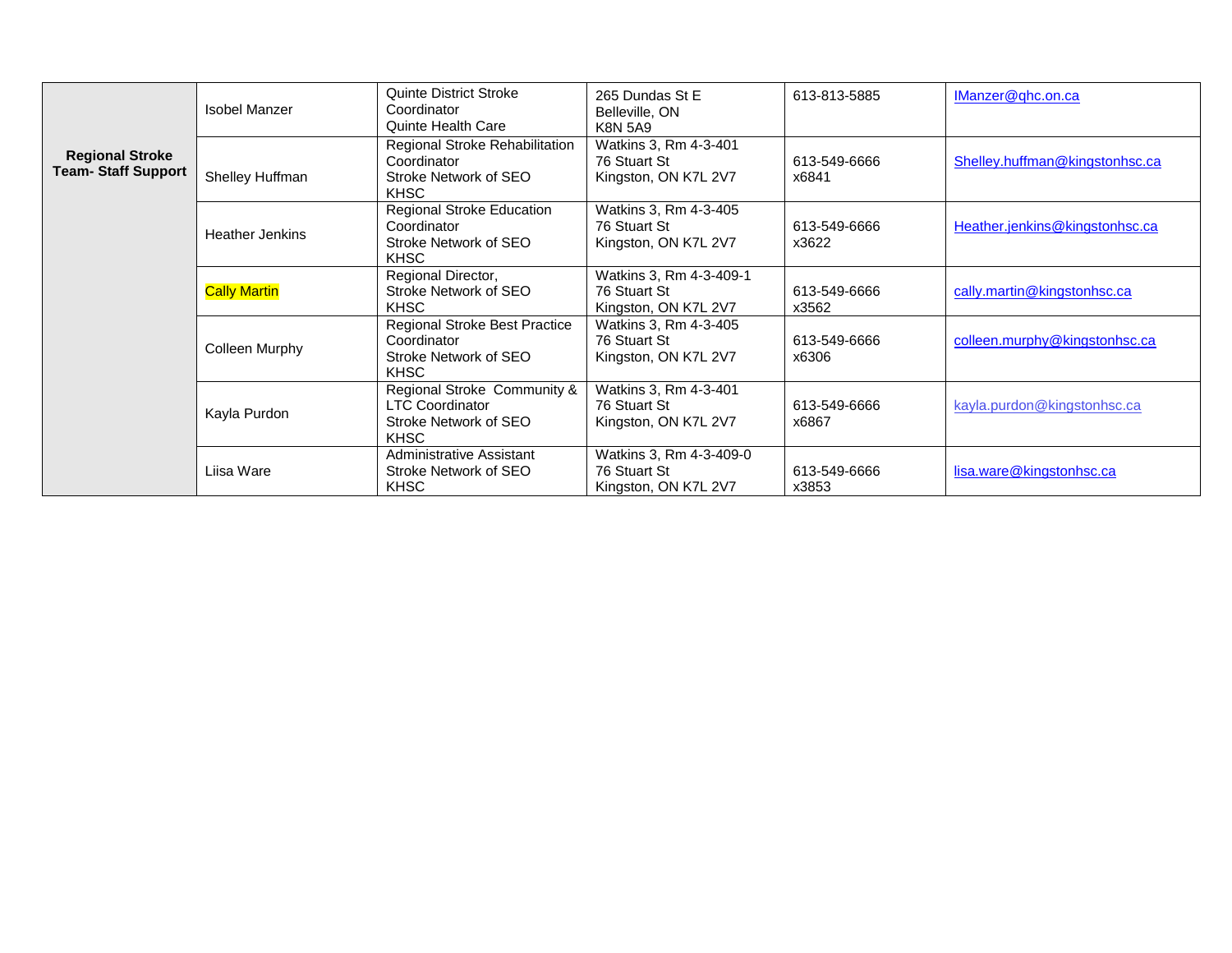|                                                      | <b>Isobel Manzer</b>   | Quinte District Stroke<br>Coordinator<br>Quinte Health Care                                   | 265 Dundas St E<br>Belleville, ON<br><b>K8N 5A9</b>             | 613-813-5885          | IManzer@ghc.on.ca              |
|------------------------------------------------------|------------------------|-----------------------------------------------------------------------------------------------|-----------------------------------------------------------------|-----------------------|--------------------------------|
| <b>Regional Stroke</b><br><b>Team- Staff Support</b> | Shelley Huffman        | Regional Stroke Rehabilitation<br>Coordinator<br>Stroke Network of SEO<br><b>KHSC</b>         | Watkins 3, Rm 4-3-401<br>76 Stuart St<br>Kingston, ON K7L 2V7   | 613-549-6666<br>x6841 | Shelley.huffman@kingstonhsc.ca |
|                                                      | <b>Heather Jenkins</b> | Regional Stroke Education<br>Coordinator<br>Stroke Network of SEO<br><b>KHSC</b>              | Watkins 3, Rm 4-3-405<br>76 Stuart St<br>Kingston, ON K7L 2V7   | 613-549-6666<br>x3622 | Heather.jenkins@kingstonhsc.ca |
|                                                      | <b>Cally Martin</b>    | Regional Director,<br>Stroke Network of SEO<br><b>KHSC</b>                                    | Watkins 3, Rm 4-3-409-1<br>76 Stuart St<br>Kingston, ON K7L 2V7 | 613-549-6666<br>x3562 | cally.martin@kingstonhsc.ca    |
|                                                      | Colleen Murphy         | Regional Stroke Best Practice<br>Coordinator<br>Stroke Network of SEO<br><b>KHSC</b>          | Watkins 3, Rm 4-3-405<br>76 Stuart St<br>Kingston, ON K7L 2V7   | 613-549-6666<br>x6306 | colleen.murphy@kingstonhsc.ca  |
|                                                      | Kayla Purdon           | Regional Stroke Community &<br><b>LTC Coordinator</b><br>Stroke Network of SEO<br><b>KHSC</b> | Watkins 3, Rm 4-3-401<br>76 Stuart St<br>Kingston, ON K7L 2V7   | 613-549-6666<br>x6867 | kayla.purdon@kingstonhsc.ca    |
|                                                      | Liisa Ware             | Administrative Assistant<br>Stroke Network of SEO<br>KHSC                                     | Watkins 3, Rm 4-3-409-0<br>76 Stuart St<br>Kingston, ON K7L 2V7 | 613-549-6666<br>x3853 | lisa.ware@kingstonhsc.ca       |